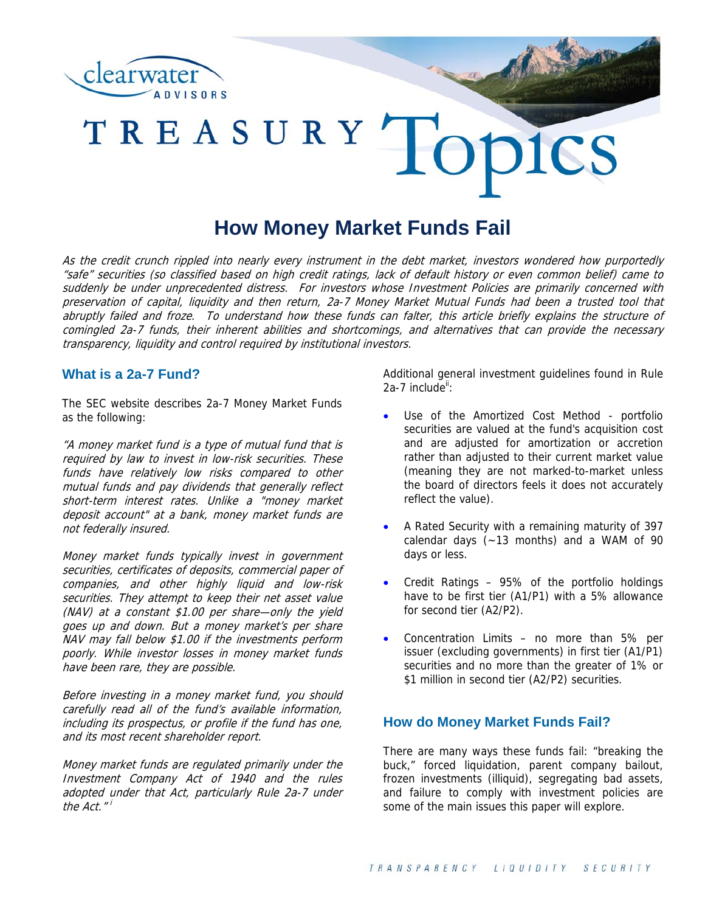

# TREASURY TO

# **How Money Market Funds Fail**

As the credit crunch rippled into nearly every instrument in the debt market, investors wondered how purportedly "safe" securities (so classified based on high credit ratings, lack of default history or even common belief) came to suddenly be under unprecedented distress. For investors whose Investment Policies are primarily concerned with preservation of capital, liquidity and then return, 2a-7 Money Market Mutual Funds had been a trusted tool that abruptly failed and froze. To understand how these funds can falter, this article briefly explains the structure of comingled 2a-7 funds, their inherent abilities and shortcomings, and alternatives that can provide the necessary transparency, liquidity and control required by institutional investors.

# **What is a 2a-7 Fund?**

The SEC website describes 2a-7 Money Market Funds as the following:

"A money market fund is a type of mutual fund that is required by law to invest in low-risk securities. These funds have relatively low risks compared to other mutual funds and pay dividends that generally reflect short-term interest rates. Unlike a "money market deposit account" at a bank, money market funds are not federally insured.

Money market funds typically invest in government securities, certificates of deposits, commercial paper of companies, and other highly liquid and low-risk securities. They attempt to keep their net asset value (NAV) at a constant \$1.00 per share—only the yield goes up and down. But a money market's per share NAV may fall below \$1.00 if the investments perform poorly. While investor losses in money market funds have been rare, they are possible.

Before investing in a money market fund, you should carefully read all of the fund's available information, including its prospectus, or profile if the fund has one, and its most recent shareholder report.

Money market funds are regulated primarily under the Investment Company Act of 1940 and the rules adopted under that Act, particularly Rule 2a-7 under the  $Act.$ " $'$ 

Additional general investment guidelines found in Rule  $2a-7$  include<sup>ii</sup>:

- Use of the Amortized Cost Method portfolio securities are valued at the fund's acquisition cost and are adjusted for amortization or accretion rather than adjusted to their current market value (meaning they are not marked-to-market unless the board of directors feels it does not accurately reflect the value).
- A Rated Security with a remaining maturity of 397 calendar days (~13 months) and a WAM of 90 days or less.
- Credit Ratings 95% of the portfolio holdings have to be first tier (A1/P1) with a 5% allowance for second tier (A2/P2).
- Concentration Limits no more than 5% per issuer (excluding governments) in first tier (A1/P1) securities and no more than the greater of 1% or \$1 million in second tier (A2/P2) securities.

# **How do Money Market Funds Fail?**

There are many ways these funds fail: "breaking the buck," forced liquidation, parent company bailout, frozen investments (illiquid), segregating bad assets, and failure to comply with investment policies are some of the main issues this paper will explore.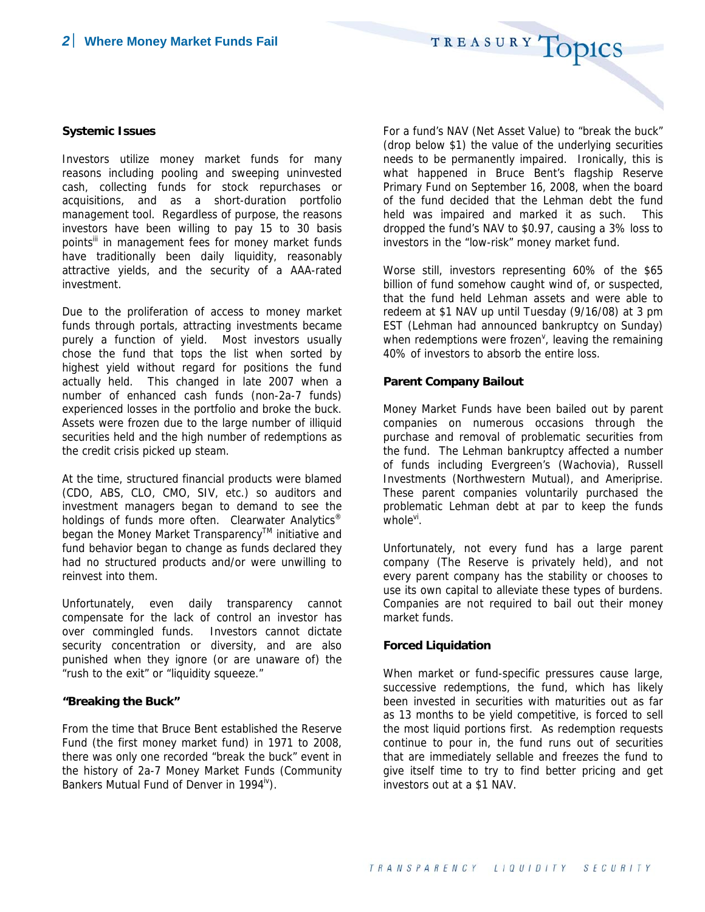TREASURY TOPICS

#### **Systemic Issues**

Investors utilize money market funds for many reasons including pooling and sweeping uninvested cash, collecting funds for stock repurchases or acquisitions, and as a short-duration portfolio management tool. Regardless of purpose, the reasons investors have been willing to pay 15 to 30 basis points<sup>III</sup> in management fees for money market funds have traditionally been daily liquidity, reasonably attractive yields, and the security of a AAA-rated investment.

Due to the proliferation of access to money market funds through portals, attracting investments became purely a function of yield. Most investors usually chose the fund that tops the list when sorted by highest yield without regard for positions the fund actually held. This changed in late 2007 when a number of enhanced cash funds (non-2a-7 funds) experienced losses in the portfolio and broke the buck. Assets were frozen due to the large number of illiquid securities held and the high number of redemptions as the credit crisis picked up steam.

At the time, structured financial products were blamed (CDO, ABS, CLO, CMO, SIV, etc.) so auditors and investment managers began to demand to see the holdings of funds more often. Clearwater Analytics<sup>®</sup> began the Money Market Transparency™ initiative and fund behavior began to change as funds declared they had no structured products and/or were unwilling to reinvest into them.

Unfortunately, even daily transparency cannot compensate for the lack of control an investor has over commingled funds. Investors cannot dictate security concentration or diversity, and are also punished when they ignore (or are unaware of) the "rush to the exit" or "liquidity squeeze."

#### **"Breaking the Buck"**

From the time that Bruce Bent established the Reserve Fund (the first money market fund) in 1971 to 2008, there was only one recorded "break the buck" event in the history of 2a-7 Money Market Funds (Community Bankers Mutual Fund of Denver in 1994<sup>iv</sup>).

For a fund's NAV (Net Asset Value) to "break the buck" (drop below \$1) the value of the underlying securities needs to be permanently impaired. Ironically, this is what happened in Bruce Bent's flagship Reserve Primary Fund on September 16, 2008, when the board of the fund decided that the Lehman debt the fund held was impaired and marked it as such. This dropped the fund's NAV to \$0.97, causing a 3% loss to investors in the "low-risk" money market fund.

Worse still, investors representing 60% of the \$65 billion of fund somehow caught wind of, or suspected, that the fund held Lehman assets and were able to redeem at \$1 NAV up until Tuesday (9/16/08) at 3 pm EST (Lehman had announced bankruptcy on Sunday) when redemptions were frozen<sup> $\vee$ </sup>, leaving the remaining 40% of investors to absorb the entire loss.

#### **Parent Company Bailout**

Money Market Funds have been bailed out by parent companies on numerous occasions through the purchase and removal of problematic securities from the fund. The Lehman bankruptcy affected a number of funds including Evergreen's (Wachovia), Russell Investments (Northwestern Mutual), and Ameriprise. These parent companies voluntarily purchased the problematic Lehman debt at par to keep the funds  $whole<sup>vi</sup>$ .

Unfortunately, not every fund has a large parent company (The Reserve is privately held), and not every parent company has the stability or chooses to use its own capital to alleviate these types of burdens. Companies are not required to bail out their money market funds.

#### **Forced Liquidation**

When market or fund-specific pressures cause large, successive redemptions, the fund, which has likely been invested in securities with maturities out as far as 13 months to be yield competitive, is forced to sell the most liquid portions first. As redemption requests continue to pour in, the fund runs out of securities that are immediately sellable and freezes the fund to give itself time to try to find better pricing and get investors out at a \$1 NAV.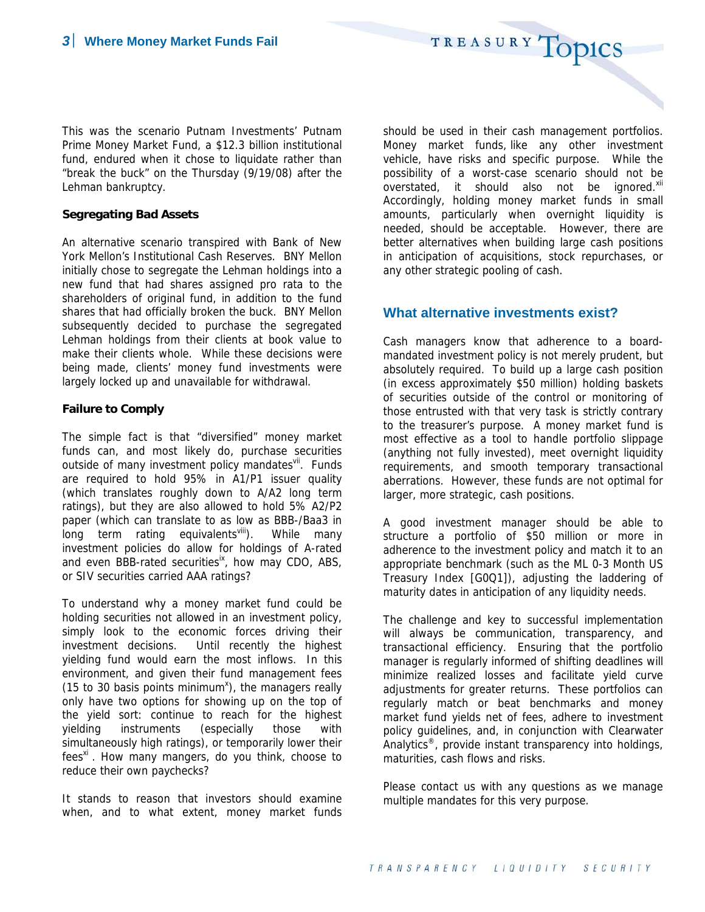This was the scenario Putnam Investments' Putnam Prime Money Market Fund, a \$12.3 billion institutional fund, endured when it chose to liquidate rather than "break the buck" on the Thursday (9/19/08) after the Lehman bankruptcy.

#### **Segregating Bad Assets**

An alternative scenario transpired with Bank of New York Mellon's Institutional Cash Reserves. BNY Mellon initially chose to segregate the Lehman holdings into a new fund that had shares assigned pro rata to the shareholders of original fund, in addition to the fund shares that had officially broken the buck. BNY Mellon subsequently decided to purchase the segregated Lehman holdings from their clients at book value to make their clients whole. While these decisions were being made, clients' money fund investments were largely locked up and unavailable for withdrawal.

### **Failure to Comply**

The simple fact is that "diversified" money market funds can, and most likely do, purchase securities outside of many investment policy mandatesvil. Funds are required to hold 95% in A1/P1 issuer quality (which translates roughly down to A/A2 long term ratings), but they are also allowed to hold 5% A2/P2 paper (which can translate to as low as BBB-/Baa3 in long term rating equivalents<sup>viii</sup>). While many investment policies do allow for holdings of A-rated and even BBB-rated securities<sup>ix</sup>, how may CDO, ABS, or SIV securities carried AAA ratings?

To understand why a money market fund could be holding securities not allowed in an investment policy, simply look to the economic forces driving their investment decisions. Until recently the highest yielding fund would earn the most inflows. In this environment, and given their fund management fees (15 to 30 basis points minimum<sup>x</sup>), the managers really only have two options for showing up on the top of the yield sort: continue to reach for the highest yielding instruments (especially those with simultaneously high ratings), or temporarily lower their  $fees^{xi}$ . How many mangers, do you think, choose to reduce their own paychecks?

It stands to reason that investors should examine when, and to what extent, money market funds should be used in their cash management portfolios. Money market funds, like any other investment vehicle, have risks and specific purpose. While the possibility of a worst-case scenario should not be overstated, it should also not be ignored.<sup>xii</sup> Accordingly, holding money market funds in small amounts, particularly when overnight liquidity is needed, should be acceptable. However, there are better alternatives when building large cash positions in anticipation of acquisitions, stock repurchases, or any other strategic pooling of cash.

TREASURY TOPICS

# **What alternative investments exist?**

Cash managers know that adherence to a boardmandated investment policy is not merely prudent, but absolutely required. To build up a large cash position (in excess approximately \$50 million) holding baskets of securities outside of the control or monitoring of those entrusted with that very task is strictly contrary to the treasurer's purpose. A money market fund is most effective as a tool to handle portfolio slippage (anything not fully invested), meet overnight liquidity requirements, and smooth temporary transactional aberrations. However, these funds are not optimal for larger, more strategic, cash positions.

A good investment manager should be able to structure a portfolio of \$50 million or more in adherence to the investment policy and match it to an appropriate benchmark (such as the ML 0-3 Month US Treasury Index [G0Q1]), adjusting the laddering of maturity dates in anticipation of any liquidity needs.

The challenge and key to successful implementation will always be communication, transparency, and transactional efficiency. Ensuring that the portfolio manager is regularly informed of shifting deadlines will minimize realized losses and facilitate yield curve adjustments for greater returns. These portfolios can regularly match or beat benchmarks and money market fund yields net of fees, adhere to investment policy guidelines, and, in conjunction with Clearwater Analytics<sup>®</sup>, provide instant transparency into holdings, maturities, cash flows and risks.

Please contact us with any questions as we manage multiple mandates for this very purpose.